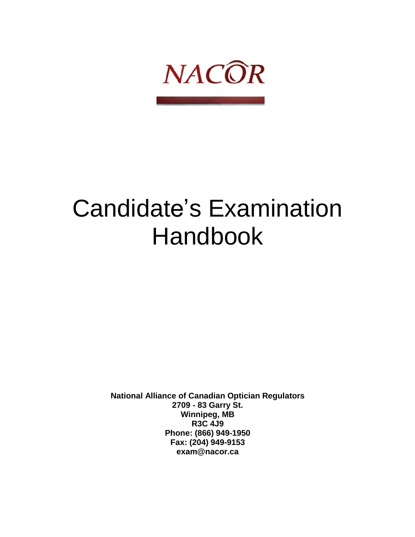

# Candidate's Examination Handbook

**National Alliance of Canadian Optician Regulators 2709 - 83 Garry St. Winnipeg, MB R3C 4J9 Phone: (866) 949-1950 Fax: (204) 949-9153 [exam@nacor.ca](mailto:exam@nacor.ca)**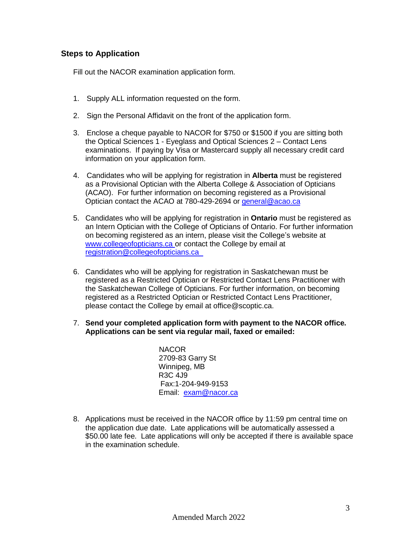## **Steps to Application**

Fill out the NACOR examination application form.

- 1. Supply ALL information requested on the form.
- 2. Sign the Personal Affidavit on the front of the application form.
- 3. Enclose a cheque payable to NACOR for \$750 or \$1500 if you are sitting both the Optical Sciences 1 - Eyeglass and Optical Sciences 2 – Contact Lens examinations. If paying by Visa or Mastercard supply all necessary credit card information on your application form.
- 4. Candidates who will be applying for registration in **Alberta** must be registered as a Provisional Optician with the Alberta College & Association of Opticians (ACAO). For further information on becoming registered as a Provisional Optician contact the ACAO at 780-429-2694 or [general@acao.ca](mailto:general@acao.ca)
- 5. Candidates who will be applying for registration in **Ontario** must be registered as an Intern Optician with the College of Opticians of Ontario. For further information on becoming registered as an intern, please visit the College's website at [www.collegeofopticians.ca](http://www.collegeofopticians.ca/) or contact the College by email at [registration@collegeofopticians.ca](mailto:registration@collegeofopticians.ca)
- 6. Candidates who will be applying for registration in Saskatchewan must be registered as a Restricted Optician or Restricted Contact Lens Practitioner with the Saskatchewan College of Opticians. For further information, on becoming registered as a Restricted Optician or Restricted Contact Lens Practitioner, please contact the College by email at office@scoptic.ca.
- 7. **Send your completed application form with payment to the NACOR office. Applications can be sent via regular mail, faxed or emailed:**

NACOR 2709-83 Garry St Winnipeg, MB R3C 4J9 Fax:1-204-949-9153 Email: [exam@nacor.ca](mailto:exam@nacor.ca)

8. Applications must be received in the NACOR office by 11:59 pm central time on the application due date. Late applications will be automatically assessed a \$50.00 late fee. Late applications will only be accepted if there is available space in the examination schedule.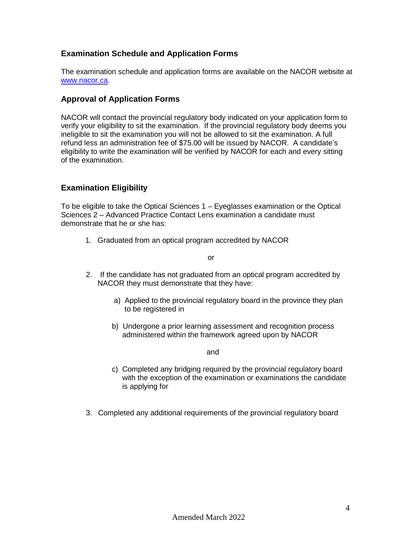## **Examination Schedule and Application Forms**

The examination schedule and application forms are available on the NACOR website at [www.nacor.ca.](http://www.nacor.ca/)

## **Approval of Application Forms**

NACOR will contact the provincial regulatory body indicated on your application form to verify your eligibility to sit the examination. If the provincial regulatory body deems you ineligible to sit the examination you will not be allowed to sit the examination. A full refund less an administration fee of \$75.00 will be issued by NACOR. A candidate's eligibility to write the examination will be verified by NACOR for each and every sitting of the examination.

## **Examination Eligibility**

To be eligible to take the Optical Sciences 1 – Eyeglasses examination or the Optical Sciences 2 – Advanced Practice Contact Lens examination a candidate must demonstrate that he or she has:

1. Graduated from an optical program accredited by NACOR

or

- 2. If the candidate has not graduated from an optical program accredited by NACOR they must demonstrate that they have:
	- a) Applied to the provincial regulatory board in the province they plan to be registered in
	- b) Undergone a prior learning assessment and recognition process administered within the framework agreed upon by NACOR

and

- c) Completed any bridging required by the provincial regulatory board with the exception of the examination or examinations the candidate is applying for
- 3. Completed any additional requirements of the provincial regulatory board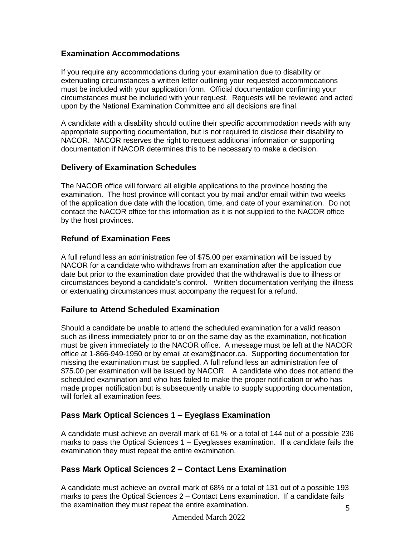## **Examination Accommodations**

If you require any accommodations during your examination due to disability or extenuating circumstances a written letter outlining your requested accommodations must be included with your application form. Official documentation confirming your circumstances must be included with your request. Requests will be reviewed and acted upon by the National Examination Committee and all decisions are final.

A candidate with a disability should outline their specific accommodation needs with any appropriate supporting documentation, but is not required to disclose their disability to NACOR. NACOR reserves the right to request additional information or supporting documentation if NACOR determines this to be necessary to make a decision.

## **Delivery of Examination Schedules**

The NACOR office will forward all eligible applications to the province hosting the examination. The host province will contact you by mail and/or email within two weeks of the application due date with the location, time, and date of your examination. Do not contact the NACOR office for this information as it is not supplied to the NACOR office by the host provinces.

## **Refund of Examination Fees**

A full refund less an administration fee of \$75.00 per examination will be issued by NACOR for a candidate who withdraws from an examination after the application due date but prior to the examination date provided that the withdrawal is due to illness or circumstances beyond a candidate's control. Written documentation verifying the illness or extenuating circumstances must accompany the request for a refund.

# **Failure to Attend Scheduled Examination**

Should a candidate be unable to attend the scheduled examination for a valid reason such as illness immediately prior to or on the same day as the examination, notification must be given immediately to the NACOR office. A message must be left at the NACOR office at 1-866-949-1950 or by em[ail at exam@nacor.ca. S](mailto:exam@nacor.ca)upporting documentation for missing the examination must be supplied. A full refund less an administration fee of \$75.00 per examination will be issued by NACOR. A candidate who does not attend the scheduled examination and who has failed to make the proper notification or who has made proper notification but is subsequently unable to supply supporting documentation, will forfeit all examination fees.

# **Pass Mark Optical Sciences 1 – Eyeglass Examination**

A candidate must achieve an overall mark of 61 % or a total of 144 out of a possible 236 marks to pass the Optical Sciences 1 – Eyeglasses examination. If a candidate fails the examination they must repeat the entire examination.

## **Pass Mark Optical Sciences 2 – Contact Lens Examination**

5 A candidate must achieve an overall mark of 68% or a total of 131 out of a possible 193 marks to pass the Optical Sciences 2 – Contact Lens examination. If a candidate fails the examination they must repeat the entire examination.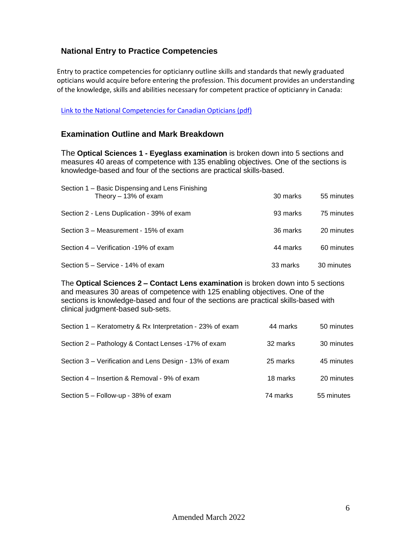## **National Entry to Practice Competencies**

Entry to practice competencies for opticianry outline skills and standards that newly graduated opticians would acquire before entering the profession. This document provides an understanding of the knowledge, skills and abilities necessary for competent practice of opticianry in Canada:

#### [Link to the National Competencies for Canadian Opticians \(pdf\)](http://nacor.ca/wp-content/uploads/2020/04/National_Competencies_for_Canadian_Opticians_4th_edition_Oct_2019.pdf)

## **Examination Outline and Mark Breakdown**

The **Optical Sciences 1 - Eyeglass examination** is broken down into 5 sections and measures 40 areas of competence with 135 enabling objectives. One of the sections is knowledge-based and four of the sections are practical skills-based.

| Section 1 – Basic Dispensing and Lens Finishing<br>Theory $-13%$ of exam | 30 marks | 55 minutes |
|--------------------------------------------------------------------------|----------|------------|
| Section 2 - Lens Duplication - 39% of exam                               | 93 marks | 75 minutes |
| Section 3 – Measurement - 15% of exam                                    | 36 marks | 20 minutes |
| Section 4 – Verification -19% of exam                                    | 44 marks | 60 minutes |
| Section 5 – Service - 14% of exam                                        | 33 marks | 30 minutes |

The **Optical Sciences 2 – Contact Lens examination** is broken down into 5 sections and measures 30 areas of competence with 125 enabling objectives. One of the sections is knowledge-based and four of the sections are practical skills-based with clinical judgment-based sub-sets.

| Section 1 – Keratometry & Rx Interpretation - 23% of exam | 44 marks | 50 minutes |
|-----------------------------------------------------------|----------|------------|
| Section 2 – Pathology & Contact Lenses -17% of exam       | 32 marks | 30 minutes |
| Section 3 – Verification and Lens Design - 13% of exam    | 25 marks | 45 minutes |
| Section 4 – Insertion & Removal - 9% of exam              | 18 marks | 20 minutes |
| Section 5 - Follow-up - 38% of exam                       | 74 marks | 55 minutes |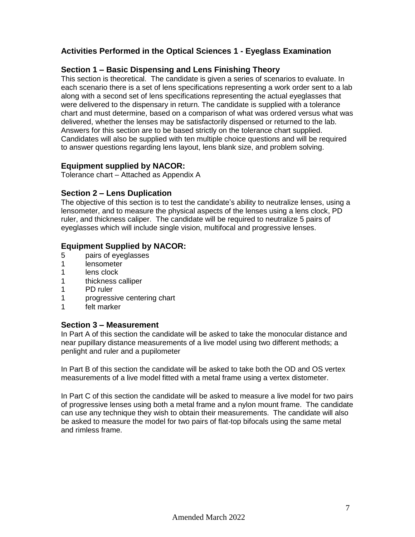## **Activities Performed in the Optical Sciences 1 - Eyeglass Examination**

## **Section 1 – Basic Dispensing and Lens Finishing Theory**

This section is theoretical. The candidate is given a series of scenarios to evaluate. In each scenario there is a set of lens specifications representing a work order sent to a lab along with a second set of lens specifications representing the actual eyeglasses that were delivered to the dispensary in return. The candidate is supplied with a tolerance chart and must determine, based on a comparison of what was ordered versus what was delivered, whether the lenses may be satisfactorily dispensed or returned to the lab. Answers for this section are to be based strictly on the tolerance chart supplied. Candidates will also be supplied with ten multiple choice questions and will be required to answer questions regarding lens layout, lens blank size, and problem solving.

## **Equipment supplied by NACOR:**

Tolerance chart – Attached as Appendix A

## **Section 2 – Lens Duplication**

The objective of this section is to test the candidate's ability to neutralize lenses, using a lensometer, and to measure the physical aspects of the lenses using a lens clock, PD ruler, and thickness caliper. The candidate will be required to neutralize 5 pairs of eyeglasses which will include single vision, multifocal and progressive lenses.

## **Equipment Supplied by NACOR:**

- 5 pairs of eyeglasses
- 1 lensometer
- 1 lens clock
- 1 thickness calliper
- 1 PD ruler
- 1 progressive centering chart
- 1 felt marker

#### **Section 3 – Measurement**

In Part A of this section the candidate will be asked to take the monocular distance and near pupillary distance measurements of a live model using two different methods; a penlight and ruler and a pupilometer

In Part B of this section the candidate will be asked to take both the OD and OS vertex measurements of a live model fitted with a metal frame using a vertex distometer.

In Part C of this section the candidate will be asked to measure a live model for two pairs of progressive lenses using both a metal frame and a nylon mount frame. The candidate can use any technique they wish to obtain their measurements. The candidate will also be asked to measure the model for two pairs of flat-top bifocals using the same metal and rimless frame.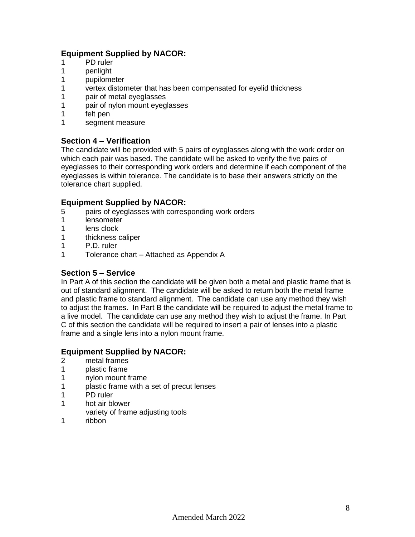# **Equipment Supplied by NACOR:**

- 1 PD ruler
- 1 penlight
- 1 pupilometer
- 1 vertex distometer that has been compensated for eyelid thickness
- 1 pair of metal eyeglasses
- 1 pair of nylon mount eyeglasses
- 1 felt pen
- 1 segment measure

## **Section 4 – Verification**

The candidate will be provided with 5 pairs of eyeglasses along with the work order on which each pair was based. The candidate will be asked to verify the five pairs of eyeglasses to their corresponding work orders and determine if each component of the eyeglasses is within tolerance. The candidate is to base their answers strictly on the tolerance chart supplied.

## **Equipment Supplied by NACOR:**

- 5 pairs of eyeglasses with corresponding work orders<br>1 lensometer
- **lensometer**
- 1 lens clock
- 1 thickness caliper
- 1 P.D. ruler
- 1 Tolerance chart Attached as Appendix A

## **Section 5 – Service**

In Part A of this section the candidate will be given both a metal and plastic frame that is out of standard alignment. The candidate will be asked to return both the metal frame and plastic frame to standard alignment. The candidate can use any method they wish to adjust the frames. In Part B the candidate will be required to adjust the metal frame to a live model. The candidate can use any method they wish to adjust the frame. In Part C of this section the candidate will be required to insert a pair of lenses into a plastic frame and a single lens into a nylon mount frame.

## **Equipment Supplied by NACOR:**

- 2 metal frames<br>1 plastic frame
- plastic frame
- 1 nylon mount frame
- 1 plastic frame with a set of precut lenses
- 1 PD ruler
- 1 hot air blower
- variety of frame adjusting tools
- 1 ribbon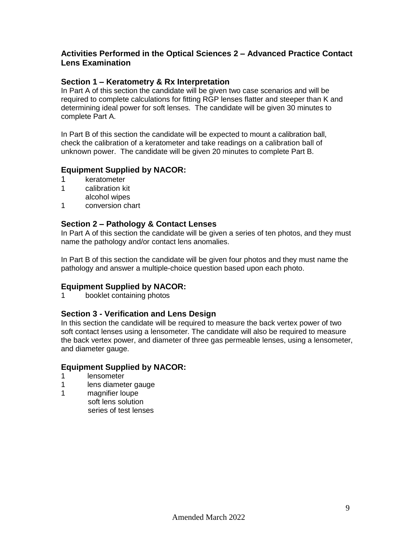## **Activities Performed in the Optical Sciences 2 – Advanced Practice Contact Lens Examination**

## **Section 1 – Keratometry & Rx Interpretation**

In Part A of this section the candidate will be given two case scenarios and will be required to complete calculations for fitting RGP lenses flatter and steeper than K and determining ideal power for soft lenses. The candidate will be given 30 minutes to complete Part A.

In Part B of this section the candidate will be expected to mount a calibration ball, check the calibration of a keratometer and take readings on a calibration ball of unknown power. The candidate will be given 20 minutes to complete Part B.

## **Equipment Supplied by NACOR:**

- 1 keratometer
- 1 calibration kit
- alcohol wipes
- 1 conversion chart

#### **Section 2 – Pathology & Contact Lenses**

In Part A of this section the candidate will be given a series of ten photos, and they must name the pathology and/or contact lens anomalies.

In Part B of this section the candidate will be given four photos and they must name the pathology and answer a multiple-choice question based upon each photo.

## **Equipment Supplied by NACOR:**

1 booklet containing photos

#### **Section 3 - Verification and Lens Design**

In this section the candidate will be required to measure the back vertex power of two soft contact lenses using a lensometer. The candidate will also be required to measure the back vertex power, and diameter of three gas permeable lenses, using a lensometer, and diameter gauge.

#### **Equipment Supplied by NACOR:**

- 1 lensometer
- 1 lens diameter gauge
- 1 magnifier loupe soft lens solution series of test lenses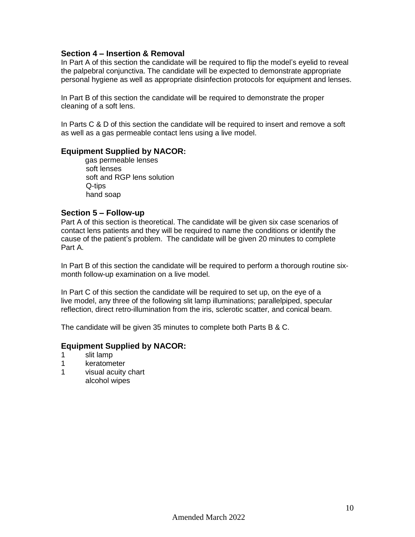#### **Section 4 – Insertion & Removal**

In Part A of this section the candidate will be required to flip the model's eyelid to reveal the palpebral conjunctiva. The candidate will be expected to demonstrate appropriate personal hygiene as well as appropriate disinfection protocols for equipment and lenses.

In Part B of this section the candidate will be required to demonstrate the proper cleaning of a soft lens.

In Parts C & D of this section the candidate will be required to insert and remove a soft as well as a gas permeable contact lens using a live model.

#### **Equipment Supplied by NACOR:**

gas permeable lenses soft lenses soft and RGP lens solution Q-tips hand soap

#### **Section 5 – Follow-up**

Part A of this section is theoretical. The candidate will be given six case scenarios of contact lens patients and they will be required to name the conditions or identify the cause of the patient's problem. The candidate will be given 20 minutes to complete Part A.

In Part B of this section the candidate will be required to perform a thorough routine sixmonth follow-up examination on a live model.

In Part C of this section the candidate will be required to set up, on the eye of a live model, any three of the following slit lamp illuminations; parallelpiped, specular reflection, direct retro-illumination from the iris, sclerotic scatter, and conical beam.

The candidate will be given 35 minutes to complete both Parts B & C.

## **Equipment Supplied by NACOR:**

- 1 slit lamp
- 1 keratometer
- 1 visual acuity chart alcohol wipes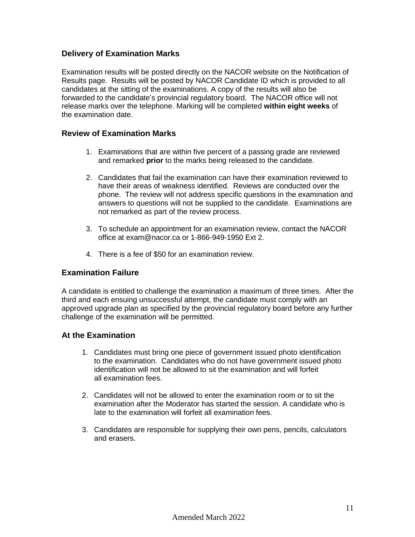## **Delivery of Examination Marks**

Examination results will be posted directly on the NACOR website on the Notification of Results page. Results will be posted by NACOR Candidate ID which is provided to all candidates at the sitting of the examinations. A copy of the results will also be forwarded to the candidate's provincial regulatory board. The NACOR office will not release marks over the telephone. Marking will be completed **within eight weeks** of the examination date.

## **Review of Examination Marks**

- 1. Examinations that are within five percent of a passing grade are reviewed and remarked **prior** to the marks being released to the candidate.
- 2. Candidates that fail the examination can have their examination reviewed to have their areas of weakness identified. Reviews are conducted over the phone. The review will not address specific questions in the examination and answers to questions will not be supplied to the candidate. Examinations are not remarked as part of the review process.
- 3. To schedule an appointment for an examination review, contact the NACOR office at [exam@nacor.ca](mailto:exam@nacor.ca) or 1-866-949-1950 Ext 2.
- 4. There is a fee of \$50 for an examination review.

#### **Examination Failure**

A candidate is entitled to challenge the examination a maximum of three times. After the third and each ensuing unsuccessful attempt, the candidate must comply with an approved upgrade plan as specified by the provincial regulatory board before any further challenge of the examination will be permitted.

#### **At the Examination**

- 1. Candidates must bring one piece of government issued photo identification to the examination. Candidates who do not have government issued photo identification will not be allowed to sit the examination and will forfeit all examination fees.
- 2. Candidates will not be allowed to enter the examination room or to sit the examination after the Moderator has started the session. A candidate who is late to the examination will forfeit all examination fees.
- 3. Candidates are responsible for supplying their own pens, pencils, calculators and erasers.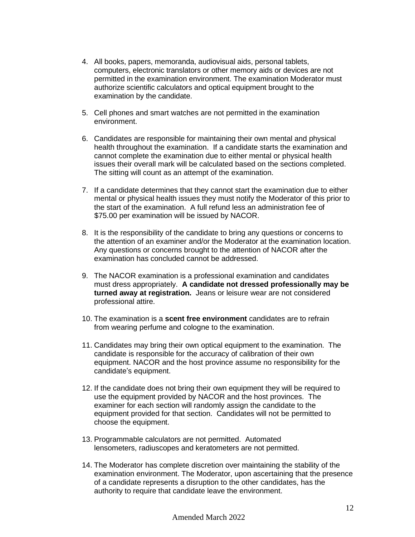- 4. All books, papers, memoranda, audiovisual aids, personal tablets, computers, electronic translators or other memory aids or devices are not permitted in the examination environment. The examination Moderator must authorize scientific calculators and optical equipment brought to the examination by the candidate.
- 5. Cell phones and smart watches are not permitted in the examination environment.
- 6. Candidates are responsible for maintaining their own mental and physical health throughout the examination. If a candidate starts the examination and cannot complete the examination due to either mental or physical health issues their overall mark will be calculated based on the sections completed. The sitting will count as an attempt of the examination.
- 7. If a candidate determines that they cannot start the examination due to either mental or physical health issues they must notify the Moderator of this prior to the start of the examination. A full refund less an administration fee of \$75.00 per examination will be issued by NACOR.
- 8. It is the responsibility of the candidate to bring any questions or concerns to the attention of an examiner and/or the Moderator at the examination location. Any questions or concerns brought to the attention of NACOR after the examination has concluded cannot be addressed.
- 9. The NACOR examination is a professional examination and candidates must dress appropriately. **A candidate not dressed professionally may be turned away at registration.** Jeans or leisure wear are not considered professional attire.
- 10. The examination is a **scent free environment** candidates are to refrain from wearing perfume and cologne to the examination.
- 11. Candidates may bring their own optical equipment to the examination. The candidate is responsible for the accuracy of calibration of their own equipment. NACOR and the host province assume no responsibility for the candidate's equipment.
- 12. If the candidate does not bring their own equipment they will be required to use the equipment provided by NACOR and the host provinces. The examiner for each section will randomly assign the candidate to the equipment provided for that section. Candidates will not be permitted to choose the equipment.
- 13. Programmable calculators are not permitted. Automated lensometers, radiuscopes and keratometers are not permitted.
- 14. The Moderator has complete discretion over maintaining the stability of the examination environment. The Moderator, upon ascertaining that the presence of a candidate represents a disruption to the other candidates, has the authority to require that candidate leave the environment.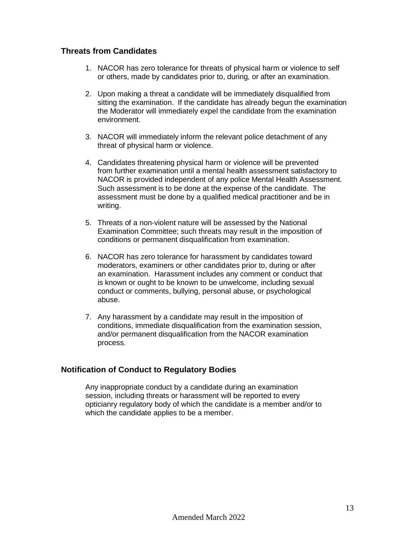## **Threats from Candidates**

- 1. NACOR has zero tolerance for threats of physical harm or violence to self or others, made by candidates prior to, during, or after an examination.
- 2. Upon making a threat a candidate will be immediately disqualified from sitting the examination. If the candidate has already begun the examination the Moderator will immediately expel the candidate from the examination environment.
- 3. NACOR will immediately inform the relevant police detachment of any threat of physical harm or violence.
- 4. Candidates threatening physical harm or violence will be prevented from further examination until a mental health assessment satisfactory to NACOR is provided independent of any police Mental Health Assessment. Such assessment is to be done at the expense of the candidate. The assessment must be done by a qualified medical practitioner and be in writing.
- 5. Threats of a non-violent nature will be assessed by the National Examination Committee; such threats may result in the imposition of conditions or permanent disqualification from examination.
- 6. NACOR has zero tolerance for harassment by candidates toward moderators, examiners or other candidates prior to, during or after an examination. Harassment includes any comment or conduct that is known or ought to be known to be unwelcome, including sexual conduct or comments, bullying, personal abuse, or psychological abuse.
- 7. Any harassment by a candidate may result in the imposition of conditions, immediate disqualification from the examination session, and/or permanent disqualification from the NACOR examination process.

## **Notification of Conduct to Regulatory Bodies**

Any inappropriate conduct by a candidate during an examination session, including threats or harassment will be reported to every opticianry regulatory body of which the candidate is a member and/or to which the candidate applies to be a member.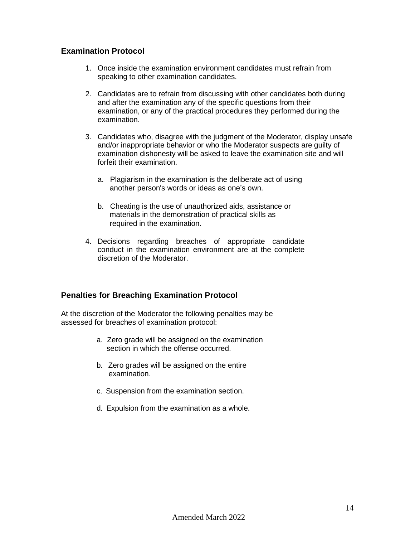## **Examination Protocol**

- 1. Once inside the examination environment candidates must refrain from speaking to other examination candidates.
- 2. Candidates are to refrain from discussing with other candidates both during and after the examination any of the specific questions from their examination, or any of the practical procedures they performed during the examination.
- 3. Candidates who, disagree with the judgment of the Moderator, display unsafe and/or inappropriate behavior or who the Moderator suspects are guilty of examination dishonesty will be asked to leave the examination site and will forfeit their examination.
	- a. Plagiarism in the examination is the deliberate act of using another person's words or ideas as one's own.
	- b. Cheating is the use of unauthorized aids, assistance or materials in the demonstration of practical skills as required in the examination.
- 4. Decisions regarding breaches of appropriate candidate conduct in the examination environment are at the complete discretion of the Moderator.

#### **Penalties for Breaching Examination Protocol**

At the discretion of the Moderator the following penalties may be assessed for breaches of examination protocol:

- a. Zero grade will be assigned on the examination section in which the offense occurred.
- b. Zero grades will be assigned on the entire examination.
- c. Suspension from the examination section.
- d. Expulsion from the examination as a whole.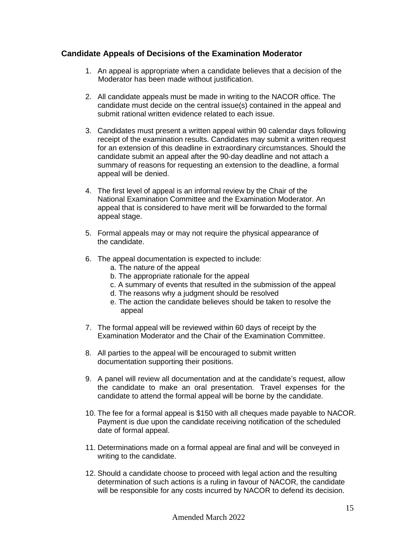## **Candidate Appeals of Decisions of the Examination Moderator**

- 1. An appeal is appropriate when a candidate believes that a decision of the Moderator has been made without justification.
- 2. All candidate appeals must be made in writing to the NACOR office. The candidate must decide on the central issue(s) contained in the appeal and submit rational written evidence related to each issue.
- 3. Candidates must present a written appeal within 90 calendar days following receipt of the examination results. Candidates may submit a written request for an extension of this deadline in extraordinary circumstances. Should the candidate submit an appeal after the 90-day deadline and not attach a summary of reasons for requesting an extension to the deadline, a formal appeal will be denied.
- 4. The first level of appeal is an informal review by the Chair of the National Examination Committee and the Examination Moderator. An appeal that is considered to have merit will be forwarded to the formal appeal stage.
- 5. Formal appeals may or may not require the physical appearance of the candidate.
- 6. The appeal documentation is expected to include:
	- a. The nature of the appeal
	- b. The appropriate rationale for the appeal
	- c. A summary of events that resulted in the submission of the appeal
	- d. The reasons why a judgment should be resolved
	- e. The action the candidate believes should be taken to resolve the appeal
- 7. The formal appeal will be reviewed within 60 days of receipt by the Examination Moderator and the Chair of the Examination Committee.
- 8. All parties to the appeal will be encouraged to submit written documentation supporting their positions.
- 9. A panel will review all documentation and at the candidate's request, allow the candidate to make an oral presentation. Travel expenses for the candidate to attend the formal appeal will be borne by the candidate.
- 10. The fee for a formal appeal is \$150 with all cheques made payable to NACOR. Payment is due upon the candidate receiving notification of the scheduled date of formal appeal.
- 11. Determinations made on a formal appeal are final and will be conveyed in writing to the candidate.
- 12. Should a candidate choose to proceed with legal action and the resulting determination of such actions is a ruling in favour of NACOR, the candidate will be responsible for any costs incurred by NACOR to defend its decision.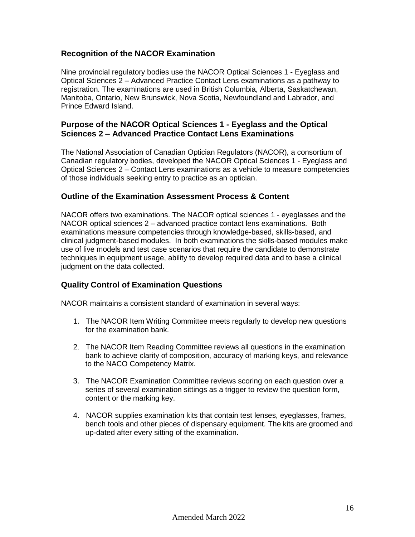## **Recognition of the NACOR Examination**

Nine provincial regulatory bodies use the NACOR Optical Sciences 1 - Eyeglass and Optical Sciences 2 – Advanced Practice Contact Lens examinations as a pathway to registration. The examinations are used in British Columbia, Alberta, Saskatchewan, Manitoba, Ontario, New Brunswick, Nova Scotia, Newfoundland and Labrador, and Prince Edward Island.

## **Purpose of the NACOR Optical Sciences 1 - Eyeglass and the Optical Sciences 2 – Advanced Practice Contact Lens Examinations**

The National Association of Canadian Optician Regulators (NACOR), a consortium of Canadian regulatory bodies, developed the NACOR Optical Sciences 1 - Eyeglass and Optical Sciences 2 – Contact Lens examinations as a vehicle to measure competencies of those individuals seeking entry to practice as an optician.

## **Outline of the Examination Assessment Process & Content**

NACOR offers two examinations. The NACOR optical sciences 1 - eyeglasses and the NACOR optical sciences 2 – advanced practice contact lens examinations. Both examinations measure competencies through knowledge-based, skills-based, and clinical judgment-based modules. In both examinations the skills-based modules make use of live models and test case scenarios that require the candidate to demonstrate techniques in equipment usage, ability to develop required data and to base a clinical judgment on the data collected.

## **Quality Control of Examination Questions**

NACOR maintains a consistent standard of examination in several ways:

- 1. The NACOR Item Writing Committee meets regularly to develop new questions for the examination bank.
- 2. The NACOR Item Reading Committee reviews all questions in the examination bank to achieve clarity of composition, accuracy of marking keys, and relevance to the NACO Competency Matrix.
- 3. The NACOR Examination Committee reviews scoring on each question over a series of several examination sittings as a trigger to review the question form, content or the marking key.
- 4. NACOR supplies examination kits that contain test lenses, eyeglasses, frames, bench tools and other pieces of dispensary equipment. The kits are groomed and up-dated after every sitting of the examination.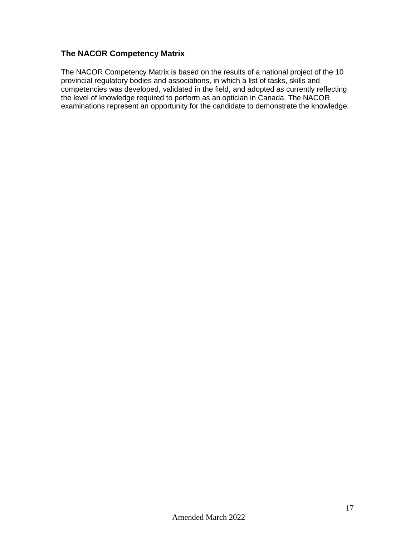# **The NACOR Competency Matrix**

The NACOR Competency Matrix is based on the results of a national project of the 10 provincial regulatory bodies and associations, in which a list of tasks, skills and competencies was developed, validated in the field, and adopted as currently reflecting the level of knowledge required to perform as an optician in Canada. The NACOR examinations represent an opportunity for the candidate to demonstrate the knowledge.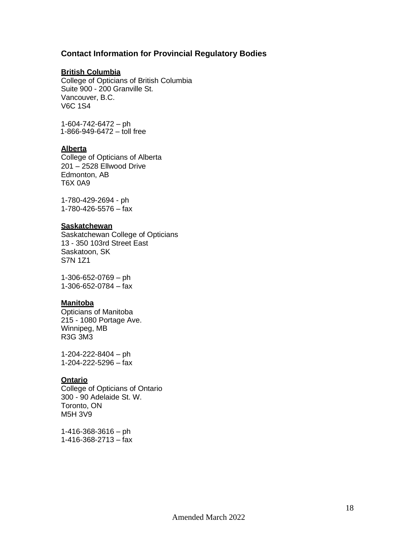#### **Contact Information for Provincial Regulatory Bodies**

#### **British Columbia**

College of Opticians of British Columbia Suite 900 - 200 Granville St. Vancouver, B.C. V6C 1S4

1-604-742-6472 – ph 1-866-949-6472  $-$  toll free

#### **Alberta**

College of Opticians of Alberta 201 – 2528 Ellwood Drive Edmonton, AB T6X 0A9

1-780-429-2694 - ph 1-780-426-5576 – fax

#### **Saskatchewan**

Saskatchewan College of Opticians 13 - 350 103rd Street East Saskatoon, SK S7N 1Z1

1-306-652-0769 – ph 1-306-652-0784 – fax

#### **Manitoba**

Opticians of Manitoba 215 - 1080 Portage Ave. Winnipeg, MB R3G 3M3

1-204-222-8404 – ph 1-204-222-5296 – fax

#### **Ontario**

College of Opticians of Ontario 300 - 90 Adelaide St. W. Toronto, ON M5H 3V9

1-416-368-3616 – ph 1-416-368-2713 – fax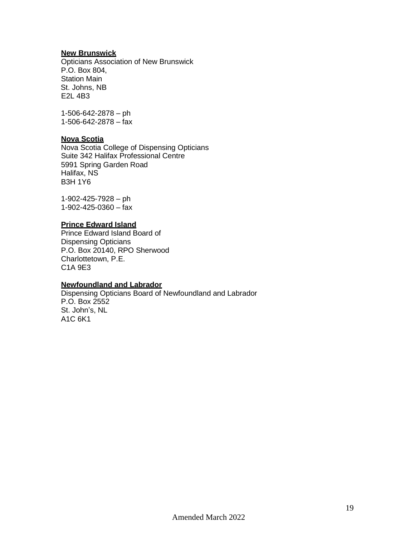#### **New Brunswick**

Opticians Association of New Brunswick P.O. Box 804, Station Main St. Johns, NB E2L 4B3

1-506-642-2878 – ph 1-506-642-2878 – fax

#### **Nova Scotia**

Nova Scotia College of Dispensing Opticians Suite 342 Halifax Professional Centre 5991 Spring Garden Road Halifax, NS B3H 1Y6

1-902-425-7928 – ph 1-902-425-0360 – fax

## **Prince Edward Island**

Prince Edward Island Board of Dispensing Opticians P.O. Box 20140, RPO Sherwood Charlottetown, P.E. C1A 9E3

#### **Newfoundland and Labrador**

Dispensing Opticians Board of Newfoundland and Labrador P.O. Box 2552 St. John's, NL A1C 6K1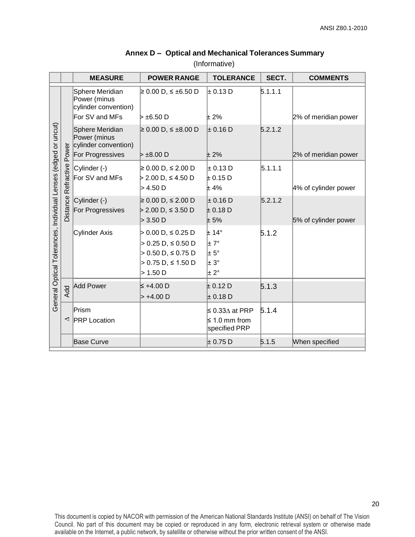|                                                                | <b>MEASURE</b>                                                            | <b>POWER RANGE</b>                                     | <b>TOLERANCE</b>                    | SECT.   | <b>COMMENTS</b>      |
|----------------------------------------------------------------|---------------------------------------------------------------------------|--------------------------------------------------------|-------------------------------------|---------|----------------------|
|                                                                | Sphere Meridian<br>Power (minus<br>cylinder convention)<br>For SV and MFs | ≥ 0.00 D, ≤ ±6.50 D<br> ⊳ ±6.50 D                      | $\pm$ 0.13 D<br>$± 2\%$             | 5.1.1.1 |                      |
|                                                                |                                                                           |                                                        |                                     |         | 2% of meridian power |
|                                                                | Sphere Meridian<br>Power (minus<br>cylinder convention)                   | $\geq 0.00$ D, ≤ ±8.00 D                               | $\pm$ 0.16 D                        | 5.2.1.2 |                      |
|                                                                | For Progressives                                                          | $\triangleright$ $\pm$ 8.00 D                          | ±2%                                 |         | 2% of meridian power |
| General Optical Tolerances, Individual Lenses (edged or uncut) | Distance Refractive Power<br>Cylinder (-)<br>For SV and MFs               | ≥ 0.00 D, ≤ 2.00 D<br>> 2.00 D, ≤ 4.50 D<br>$>$ 4.50 D | $\pm$ 0.13 D<br>$\pm$ 0.15 D<br>±4% | 5.1.1.1 | 4% of cylinder power |
|                                                                |                                                                           |                                                        |                                     | 5.2.1.2 |                      |
|                                                                | Cylinder (-)<br>For Progressives                                          | ≥ 0.00 D, ≤ 2.00 D<br>> 2.00 D, ≤ 3.50 D               | $\pm$ 0.16 D<br>± 0.18 D            |         |                      |
|                                                                |                                                                           | > 3.50 D                                               | ± 5%                                |         | 5% of cylinder power |
|                                                                | Cylinder Axis                                                             | > 0.00 D, ≤ 0.25 D                                     | ± 14°                               | 5.1.2   |                      |
|                                                                |                                                                           | $> 0.25 D, \leq 0.50 D$                                | $\pm 7^{\circ}$                     |         |                      |
|                                                                |                                                                           | $> 0.50$ D, $\leq 0.75$ D                              | $\pm 5^{\circ}$                     |         |                      |
|                                                                |                                                                           | $> 0.75$ D, $\leq 1.50$ D<br>> 1.50 D                  | l± 3°<br>$\pm 2^{\circ}$            |         |                      |
|                                                                |                                                                           |                                                        |                                     |         |                      |
|                                                                | Add Power<br><b>Add</b>                                                   | $\leq$ +4.00 D                                         | $\pm$ 0.12 D                        | 5.1.3   |                      |
|                                                                |                                                                           | $> +4.00 D$                                            | $\pm$ 0.18 D                        |         |                      |
|                                                                | Prism                                                                     |                                                        | ≤ 0.33 $\Delta$ at PRP              | 5.1.4   |                      |
|                                                                | ◁<br><b>PRP</b> Location                                                  |                                                        | $\leq 1.0$ mm from<br>specified PRP |         |                      |
|                                                                | <b>Base Curve</b>                                                         |                                                        | $\pm$ 0.75 D                        | 5.1.5   | When specified       |

## **Annex D – Optical and Mechanical Tolerances Summary**

(Informative)

This document is copied by NACOR with permission of the American National Standards Institute (ANSI) on behalf of The Vision Council. No part of this document may be copied or reproduced in any form, electronic retrieval system or otherwise made available on the Internet, a public network, by satellite or otherwise without the prior written consent of the ANSI.